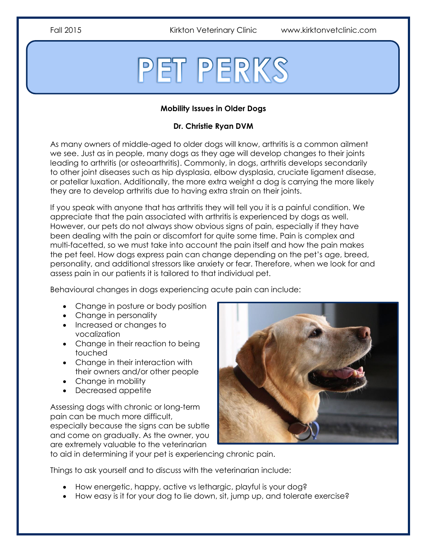Fall 2015 Kirkton Veterinary Clinic www.kirktonvetclinic.com

# PET PERKS

# **Mobility Issues in Older Dogs**

# **Dr. Christie Ryan DVM**

As many owners of middle-aged to older dogs will know, arthritis is a common ailment we see. Just as in people, many dogs as they age will develop changes to their joints leading to arthritis (or osteoarthritis). Commonly, in dogs, arthritis develops secondarily to other joint diseases such as hip dysplasia, elbow dysplasia, cruciate ligament disease, or patellar luxation. Additionally, the more extra weight a dog is carrying the more likely they are to develop arthritis due to having extra strain on their joints.

If you speak with anyone that has arthritis they will tell you it is a painful condition. We appreciate that the pain associated with arthritis is experienced by dogs as well. However, our pets do not always show obvious signs of pain, especially if they have been dealing with the pain or discomfort for quite some time. Pain is complex and multi-facetted, so we must take into account the pain itself and how the pain makes the pet feel. How dogs express pain can change depending on the pet's age, breed, personality, and additional stressors like anxiety or fear. Therefore, when we look for and assess pain in our patients it is tailored to that individual pet.

Behavioural changes in dogs experiencing acute pain can include:

- Change in posture or body position
- Change in personality
- Increased or changes to vocalization
- Change in their reaction to being touched
- Change in their interaction with their owners and/or other people
- Change in mobility
- Decreased appetite

Assessing dogs with chronic or long-term pain can be much more difficult, especially because the signs can be subtle and come on gradually. As the owner, you are extremely valuable to the veterinarian



to aid in determining if your pet is experiencing chronic pain.

Things to ask yourself and to discuss with the veterinarian include:

- How energetic, happy, active vs lethargic, playful is your dog?
- How easy is it for your dog to lie down, sit, jump up, and tolerate exercise?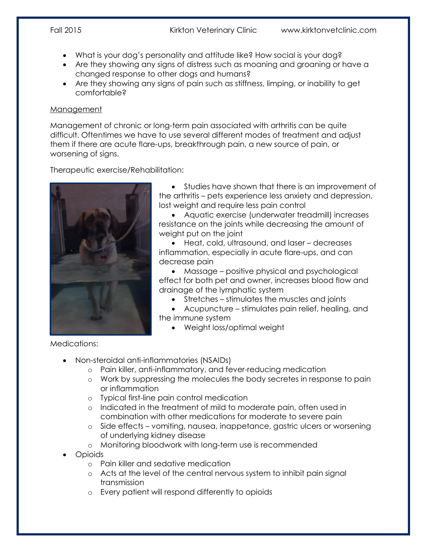- What is your dog's personality and attitude like? How social is your dog?
- Are they showing any signs of distress such as moaning and groaning or have a changed response to other dogs and humans?
- Are they showing any signs of pain such as stiffness, limping, or inability to get comfortable?

## Management

Management of chronic or long-term pain associated with arthritis can be quite difficult. Oftentimes we have to use several different modes of treatment and adjust them if there are acute flare-ups, breakthrough pain, a new source of pain, or worsening of signs.

Therapeutic exercise/Rehabilitation:



 Studies have shown that there is an improvement of the arthritis – pets experience less anxiety and depression, lost weight and require less pain control

 Aquatic exercise (underwater treadmill) increases resistance on the joints while decreasing the amount of weight put on the joint

 Heat, cold, ultrasound, and laser – decreases inflammation, especially in acute flare-ups, and can decrease pain

 Massage – positive physical and psychological effect for both pet and owner, increases blood flow and drainage of the lymphatic system

Stretches – stimulates the muscles and joints

 Acupuncture – stimulates pain relief, healing, and the immune system

Weight loss/optimal weight

Medications:

- Non-steroidal anti-inflammatories (NSAIDs)
	- o Pain killer, anti-inflammatory, and fever-reducing medication
	- o Work by suppressing the molecules the body secretes in response to pain or inflammation
	- o Typical first-line pain control medication
	- o Indicated in the treatment of mild to moderate pain, often used in combination with other medications for moderate to severe pain
	- o Side effects vomiting, nausea, inappetance, gastric ulcers or worsening of underlying kidney disease
	- o Monitoring bloodwork with long-term use is recommended
- Opioids
	- o Pain killer and sedative medication
	- o Acts at the level of the central nervous system to inhibit pain signal transmission
	- o Every patient will respond differently to opioids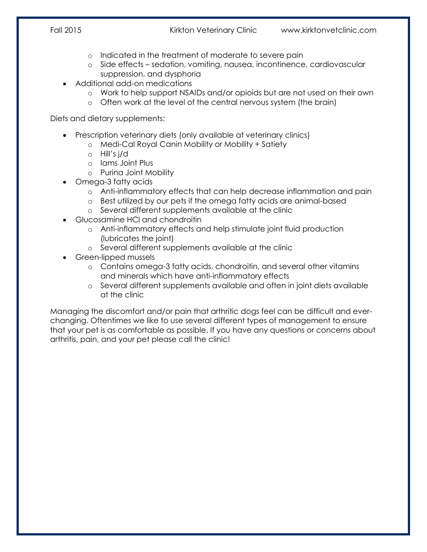- o Indicated in the treatment of moderate to severe pain
- o Side effects sedation, vomiting, nausea, incontinence, cardiovascular suppression, and dysphoria
- Additional add-on medications
	- o Work to help support NSAIDs and/or opioids but are not used on their own
	- o Often work at the level of the central nervous system (the brain)

Diets and dietary supplements:

- Prescription veterinary diets (only available at veterinary clinics)
	- o Medi-Cal Royal Canin Mobility or Mobility + Satiety
	- o Hill's j/d
	- o Iams Joint Plus
	- o Purina Joint Mobility
- Omega-3 fatty acids
	- o Anti-inflammatory effects that can help decrease inflammation and pain
	- o Best utilized by our pets if the omega fatty acids are animal-based
	- o Several different supplements available at the clinic
- Glucosamine HCl and chondroitin
	- o Anti-inflammatory effects and help stimulate joint fluid production (lubricates the joint)
	- o Several different supplements available at the clinic
- Green-lipped mussels
	- o Contains omega-3 fatty acids, chondroitin, and several other vitamins and minerals which have anti-inflammatory effects
	- o Several different supplements available and often in joint diets available at the clinic

Managing the discomfort and/or pain that arthritic dogs feel can be difficult and everchanging. Oftentimes we like to use several different types of management to ensure that your pet is as comfortable as possible. If you have any questions or concerns about arthritis, pain, and your pet please call the clinic!